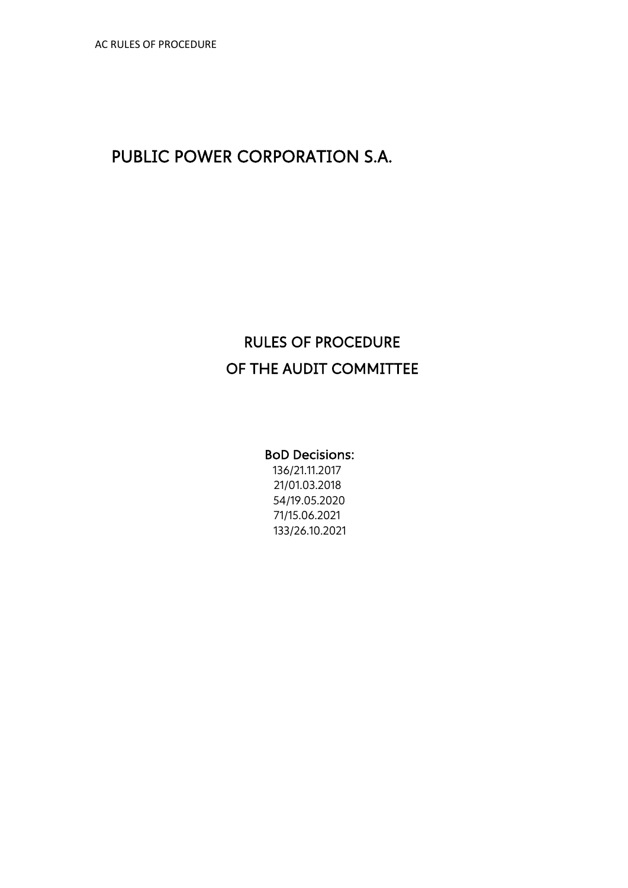# PUBLIC POWER CORPORATION S.A.

# RULES OF PROCEDURE OF THE AUDIT COMMITTEE

#### BoD Decisions:

136/21.11.2017 21/01.03.2018 54/19.05.2020 71/15.06.2021 133/26.10.2021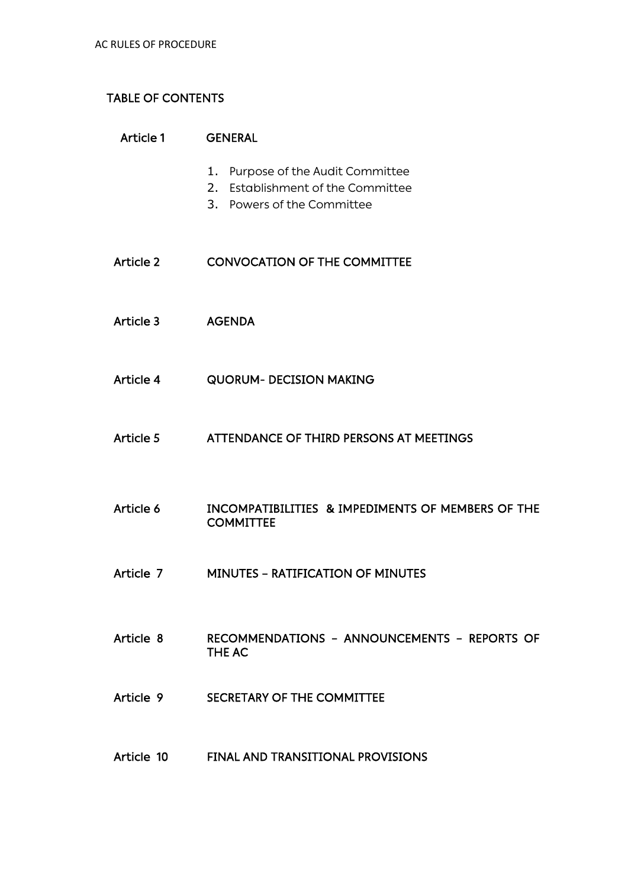# TABLE OF CONTENTS

| Article 1 | <b>GENERAL</b>                                                                                       |
|-----------|------------------------------------------------------------------------------------------------------|
|           | 1. Purpose of the Audit Committee<br>2. Establishment of the Committee<br>3. Powers of the Committee |
| Article 2 | <b>CONVOCATION OF THE COMMITTEE</b>                                                                  |
| Article 3 | <b>AGENDA</b>                                                                                        |
| Article 4 | <b>QUORUM- DECISION MAKING</b>                                                                       |
| Article 5 | ATTENDANCE OF THIRD PERSONS AT MEETINGS                                                              |
| Article 6 | INCOMPATIBILITIES & IMPEDIMENTS OF MEMBERS OF THE<br><b>COMMITTEE</b>                                |
| Article 7 | <b>MINUTES - RATIFICATION OF MINUTES</b>                                                             |
| Article 8 | RECOMMENDATIONS - ANNOUNCEMENTS - REPORTS OF<br><b>THE AC</b>                                        |
| Article 9 | SECRETARY OF THE COMMITTEE                                                                           |
|           | Article 10 FINAL AND TRANSITIONAL PROVISIONS                                                         |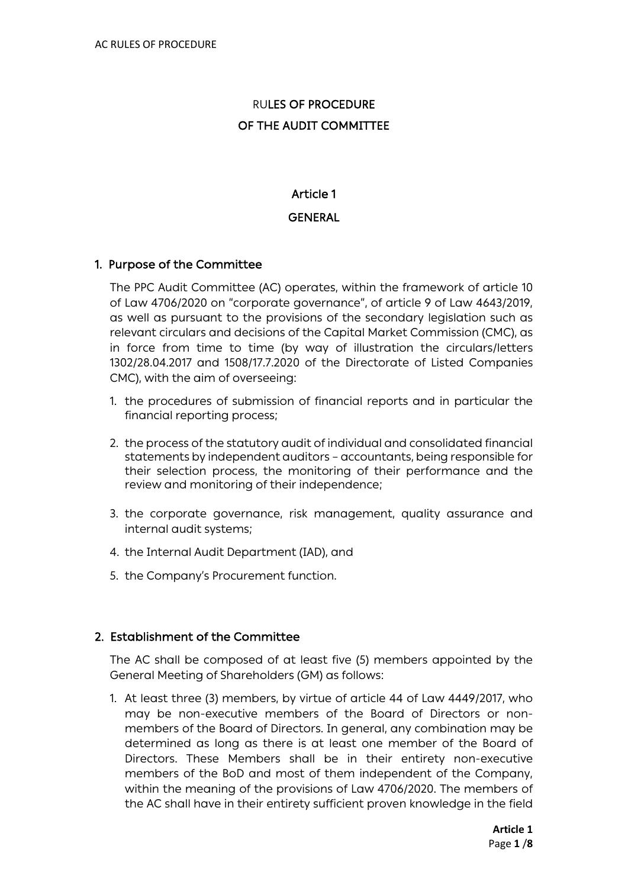# RULES OF PROCEDURE OF THE AUDIT COMMITTEE

## Article 1

#### **GENERAL**

#### 1. Purpose of the Committee

The PPC Audit Committee (AC) operates, within the framework of article 10 of Law 4706/2020 on "corporate governance", of article 9 of Law 4643/2019, as well as pursuant to the provisions of the secondary legislation such as relevant circulars and decisions of the Capital Market Commission (CMC), as in force from time to time (by way of illustration the circulars/letters 1302/28.04.2017 and 1508/17.7.2020 of the Directorate of Listed Companies CMC), with the aim of overseeing:

- 1. the procedures of submission of financial reports and in particular the financial reporting process;
- 2. the process of the statutory audit of individual and consolidated financial statements by independent auditors – accountants, being responsible for their selection process, the monitoring of their performance and the review and monitoring of their independence;
- 3. the corporate governance, risk management, quality assurance and internal audit systems;
- 4. the Internal Audit Department (IAD), and
- 5. the Company's Procurement function.

#### 2. Establishment of the Committee

The AC shall be composed of at least five (5) members appointed by the General Meeting of Shareholders (GM) as follows:

1. At least three (3) members, by virtue of article 44 of Law 4449/2017, who may be non-executive members of the Board of Directors or nonmembers of the Board of Directors. In general, any combination may be determined as long as there is at least one member of the Board of Directors. These Members shall be in their entirety non-executive members of the BoD and most of them independent of the Company, within the meaning of the provisions of Law 4706/2020. The members of the AC shall have in their entirety sufficient proven knowledge in the field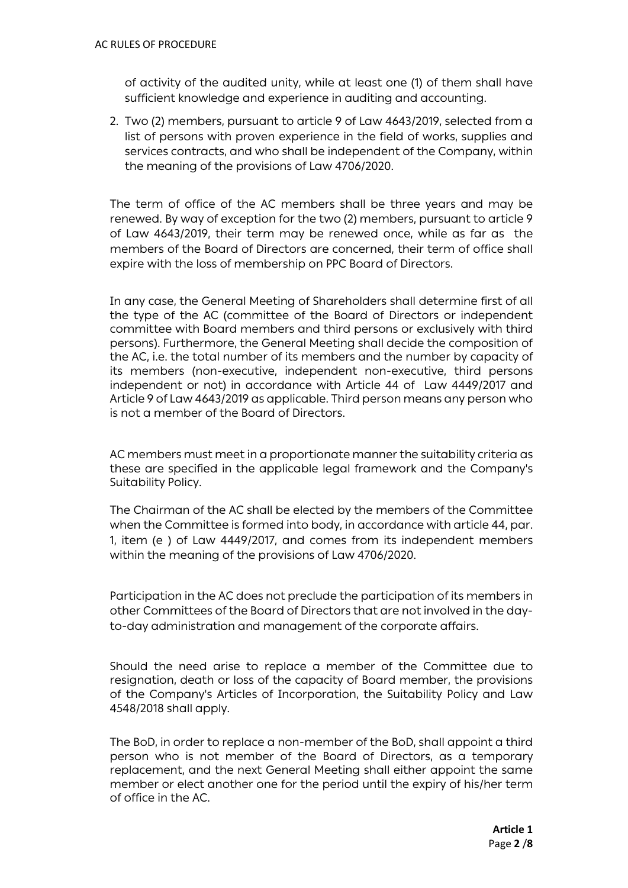of activity of the audited unity, while at least one (1) of them shall have sufficient knowledge and experience in auditing and accounting.

2. Two (2) members, pursuant to article 9 of Law 4643/2019, selected from a list of persons with proven experience in the field of works, supplies and services contracts, and who shall be independent of the Company, within the meaning of the provisions of Law 4706/2020.

The term of office of the AC members shall be three years and may be renewed. By way of exception for the two (2) members, pursuant to article 9 of Law 4643/2019, their term may be renewed once, while as far as the members of the Board of Directors are concerned, their term of office shall expire with the loss of membership on PPC Board of Directors.

In any case, the General Meeting of Shareholders shall determine first of all the type of the AC (committee of the Board of Directors or independent committee with Board members and third persons or exclusively with third persons). Furthermore, the General Meeting shall decide the composition of the AC, i.e. the total number of its members and the number by capacity of its members (non-executive, independent non-executive, third persons independent or not) in accordance with Article 44 of Law 4449/2017 and Article 9 of Law 4643/2019 as applicable. Third person means any person who is not a member of the Board of Directors.

AC members must meet in a proportionate manner the suitability criteria as these are specified in the applicable legal framework and the Company's Suitability Policy.

The Chairman of the AC shall be elected by the members of the Committee when the Committee is formed into body, in accordance with article 44, par. 1, item (e ) of Law 4449/2017, and comes from its independent members within the meaning of the provisions of Law 4706/2020.

Participation in the AC does not preclude the participation of its members in other Committees of the Board of Directors that are not involved in the dayto-day administration and management of the corporate affairs.

Should the need arise to replace a member of the Committee due to resignation, death or loss of the capacity of Board member, the provisions of the Company's Articles of Incorporation, the Suitability Policy and Law 4548/2018 shall apply.

The BoD, in order to replace a non-member of the BoD, shall appoint a third person who is not member of the Board of Directors, as a temporary replacement, and the next General Meeting shall either appoint the same member or elect another one for the period until the expiry of his/her term of office in the AC.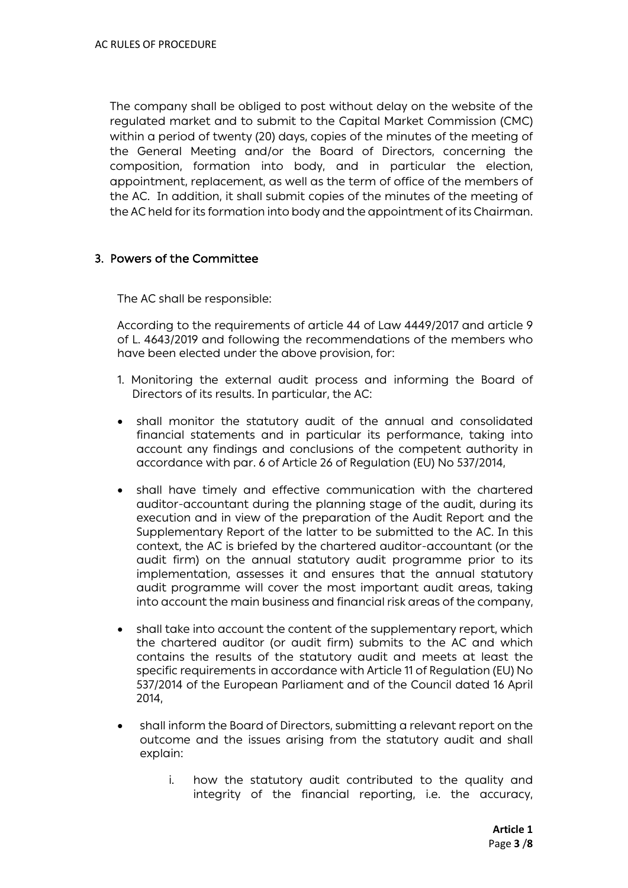The company shall be obliged to post without delay on the website of the regulated market and to submit to the Capital Market Commission (CMC) within a period of twenty (20) days, copies of the minutes of the meeting of the General Meeting and/or the Board of Directors, concerning the composition, formation into body, and in particular the election, appointment, replacement, as well as the term of office of the members of the AC. In addition, it shall submit copies of the minutes of the meeting of the AC held for its formation into body and the appointment of its Chairman.

#### 3. Powers of the Committee

The AC shall be responsible:

According to the requirements of article 44 of Law 4449/2017 and article 9 of L. 4643/2019 and following the recommendations of the members who have been elected under the above provision, for:

- 1. Monitoring the external audit process and informing the Board of Directors of its results. In particular, the AC:
- shall monitor the statutory audit of the annual and consolidated financial statements and in particular its performance, taking into account any findings and conclusions of the competent authority in accordance with par. 6 of Article 26 of Regulation (EU) No 537/2014,
- shall have timely and effective communication with the chartered auditor-accountant during the planning stage of the audit, during its execution and in view of the preparation of the Audit Report and the Supplementary Report of the latter to be submitted to the AC. In this context, the AC is briefed by the chartered auditor-accountant (or the audit firm) on the annual statutory audit programme prior to its implementation, assesses it and ensures that the annual statutory audit programme will cover the most important audit areas, taking into account the main business and financial risk areas of the company,
- shall take into account the content of the supplementary report, which the chartered auditor (or audit firm) submits to the AC and which contains the results of the statutory audit and meets at least the specific requirements in accordance with Article 11 of Regulation (EU) No 537/2014 of the European Parliament and of the Council dated 16 April 2014,
- shall inform the Board of Directors, submitting a relevant report on the outcome and the issues arising from the statutory audit and shall explain:
	- i. how the statutory audit contributed to the quality and integrity of the financial reporting, i.e. the accuracy,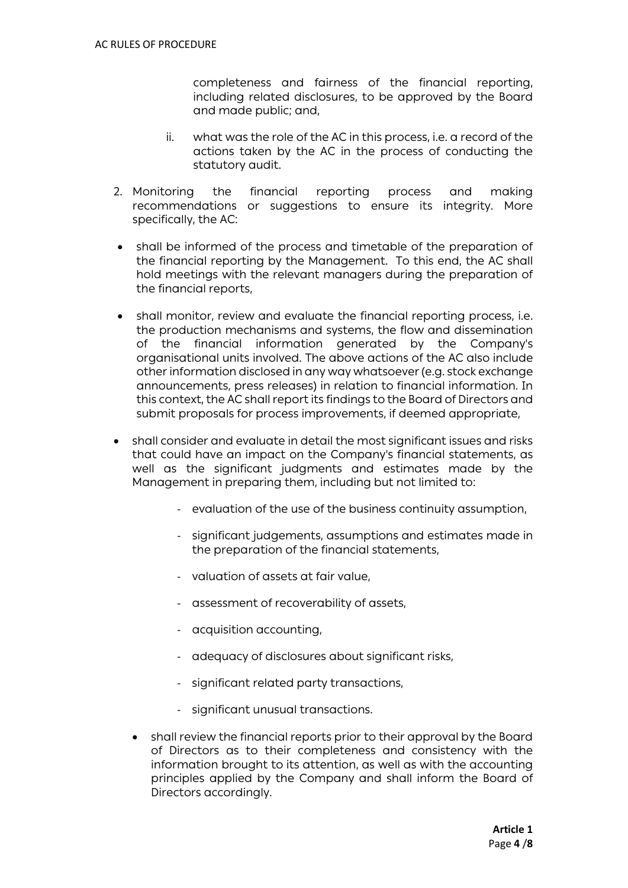completeness and fairness of the financial reporting, including related disclosures, to be approved by the Board and made public; and,

- ii. what was the role of the AC in this process, i.e. a record of the actions taken by the AC in the process of conducting the statutory audit.
- 2. Monitoring the financial reporting process and making recommendations or suggestions to ensure its integrity. More specifically, the AC:
- shall be informed of the process and timetable of the preparation of the financial reporting by the Management. To this end, the AC shall hold meetings with the relevant managers during the preparation of the financial reports,
- shall monitor, review and evaluate the financial reporting process, i.e. the production mechanisms and systems, the flow and dissemination of the financial information generated by the Company's organisational units involved. The above actions of the AC also include other information disclosed in any way whatsoever(e.g. stock exchange announcements, press releases) in relation to financial information. In this context, the AC shall report its findings to the Board of Directors and submit proposals for process improvements, if deemed appropriate,
- shall consider and evaluate in detail the most significant issues and risks that could have an impact on the Company's financial statements, as well as the significant judgments and estimates made by the Management in preparing them, including but not limited to:
	- evaluation of the use of the business continuity assumption,
	- significant judgements, assumptions and estimates made in the preparation of the financial statements,
	- valuation of assets at fair value,
	- assessment of recoverability of assets,
	- acquisition accounting,
	- adequacy of disclosures about significant risks,
	- significant related party transactions,
	- significant unusual transactions.
	- shall review the financial reports prior to their approval by the Board of Directors as to their completeness and consistency with the information brought to its attention, as well as with the accounting principles applied by the Company and shall inform the Board of Directors accordingly.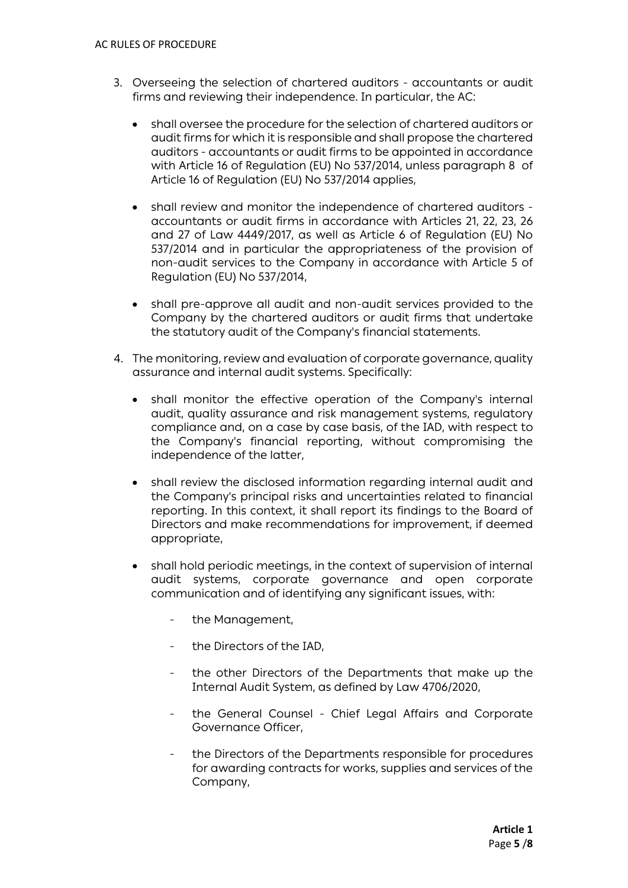- 3. Overseeing the selection of chartered auditors accountants or audit firms and reviewing their independence. In particular, the AC:
	- shall oversee the procedure for the selection of chartered auditors or audit firms for which it is responsible and shall propose the chartered auditors - accountants or audit firms to be appointed in accordance with Article 16 of Regulation (EU) No 537/2014, unless paragraph 8 of Article 16 of Regulation (EU) No 537/2014 applies,
	- shall review and monitor the independence of chartered auditors accountants or audit firms in accordance with Articles 21, 22, 23, 26 and 27 of Law 4449/2017, as well as Article 6 of Regulation (EU) No 537/2014 and in particular the appropriateness of the provision of non-audit services to the Company in accordance with Article 5 of Regulation (EU) No 537/2014,
	- shall pre-approve all audit and non-audit services provided to the Company by the chartered auditors or audit firms that undertake the statutory audit of the Company's financial statements.
- 4. The monitoring, review and evaluation of corporate governance, quality assurance and internal audit systems. Specifically:
	- shall monitor the effective operation of the Company's internal audit, quality assurance and risk management systems, regulatory compliance and, on a case by case basis, of the IAD, with respect to the Company's financial reporting, without compromising the independence of the latter,
	- shall review the disclosed information regarding internal audit and the Company's principal risks and uncertainties related to financial reporting. In this context, it shall report its findings to the Board of Directors and make recommendations for improvement, if deemed appropriate,
	- shall hold periodic meetings, in the context of supervision of internal audit systems, corporate governance and open corporate communication and of identifying any significant issues, with:
		- the Management,
		- the Directors of the IAD,
		- the other Directors of the Departments that make up the Internal Audit System, as defined by Law 4706/2020,
		- the General Counsel Chief Legal Affairs and Corporate Governance Officer,
		- the Directors of the Departments responsible for procedures for awarding contracts for works, supplies and services of the Company,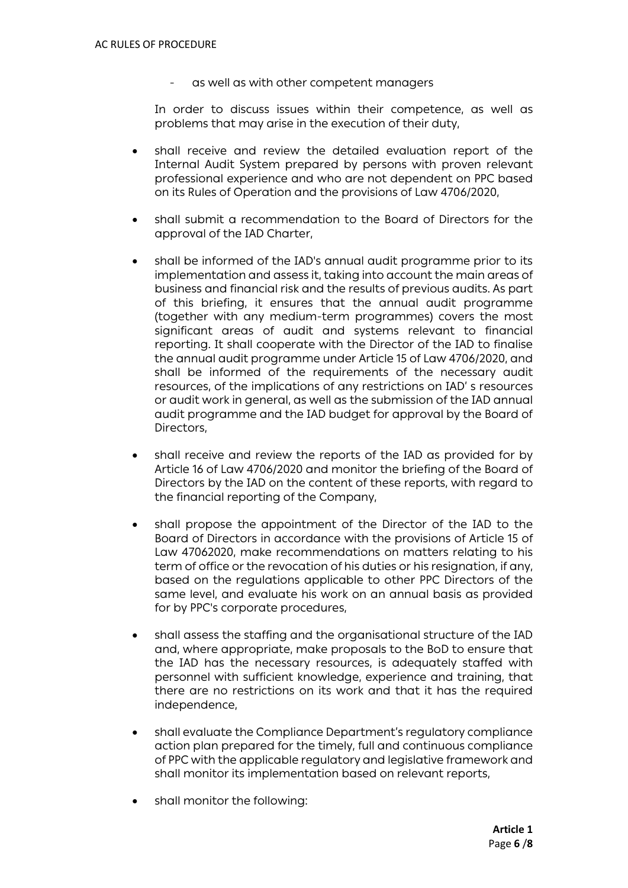as well as with other competent managers

In order to discuss issues within their competence, as well as problems that may arise in the execution of their duty,

- shall receive and review the detailed evaluation report of the Internal Audit System prepared by persons with proven relevant professional experience and who are not dependent on PPC based on its Rules of Operation and the provisions of Law 4706/2020,
- shall submit a recommendation to the Board of Directors for the approval of the IAD Charter,
- shall be informed of the IAD's annual audit programme prior to its implementation and assess it, taking into account the main areas of business and financial risk and the results of previous audits. As part of this briefing, it ensures that the annual audit programme (together with any medium-term programmes) covers the most significant areas of audit and systems relevant to financial reporting. It shall cooperate with the Director of the IAD to finalise the annual audit programme under Article 15 of Law 4706/2020, and shall be informed of the requirements of the necessary audit resources, of the implications of any restrictions on IAD' s resources or audit work in general, as well as the submission of the IAD annual audit programme and the IAD budget for approval by the Board of Directors,
- shall receive and review the reports of the IAD as provided for by Article 16 of Law 4706/2020 and monitor the briefing of the Board of Directors by the IAD on the content of these reports, with regard to the financial reporting of the Company,
- shall propose the appointment of the Director of the IAD to the Board of Directors in accordance with the provisions of Article 15 of Law 47062020, make recommendations on matters relating to his term of office or the revocation of his duties or his resignation, if any, based on the regulations applicable to other PPC Directors of the same level, and evaluate his work on an annual basis as provided for by PPC's corporate procedures,
- shall assess the staffing and the organisational structure of the IAD and, where appropriate, make proposals to the BoD to ensure that the IAD has the necessary resources, is adequately staffed with personnel with sufficient knowledge, experience and training, that there are no restrictions on its work and that it has the required independence,
- shall evaluate the Compliance Department's regulatory compliance action plan prepared for the timely, full and continuous compliance of PPC with the applicable regulatory and legislative framework and shall monitor its implementation based on relevant reports,
- shall monitor the following: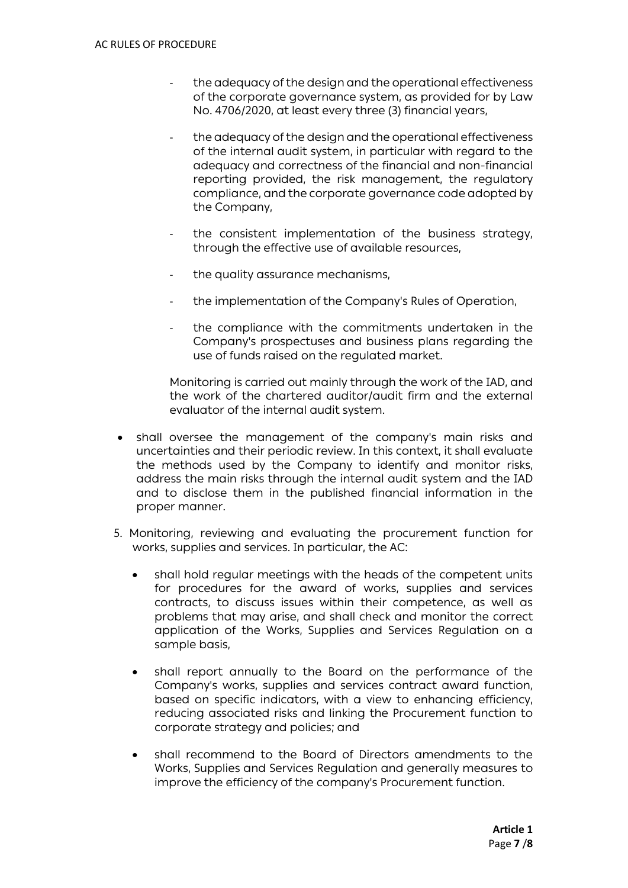- the adequacy of the design and the operational effectiveness of the corporate governance system, as provided for by Law No. 4706/2020, at least every three (3) financial years,
- the adequacy of the design and the operational effectiveness of the internal audit system, in particular with regard to the adequacy and correctness of the financial and non-financial reporting provided, the risk management, the regulatory compliance, and the corporate governance code adopted by the Company,
- the consistent implementation of the business strategy, through the effective use of available resources,
- the quality assurance mechanisms,
- the implementation of the Company's Rules of Operation,
- the compliance with the commitments undertaken in the Company's prospectuses and business plans regarding the use of funds raised on the regulated market.

Monitoring is carried out mainly through the work of the IAD, and the work of the chartered auditor/audit firm and the external evaluator of the internal audit system.

- shall oversee the management of the company's main risks and uncertainties and their periodic review. In this context, it shall evaluate the methods used by the Company to identify and monitor risks, address the main risks through the internal audit system and the IAD and to disclose them in the published financial information in the proper manner.
- 5. Monitoring, reviewing and evaluating the procurement function for works, supplies and services. In particular, the AC:
	- shall hold regular meetings with the heads of the competent units for procedures for the award of works, supplies and services contracts, to discuss issues within their competence, as well as problems that may arise, and shall check and monitor the correct application of the Works, Supplies and Services Regulation on a sample basis,
	- shall report annually to the Board on the performance of the Company's works, supplies and services contract award function, based on specific indicators, with a view to enhancing efficiency, reducing associated risks and linking the Procurement function to corporate strategy and policies; and
	- shall recommend to the Board of Directors amendments to the Works, Supplies and Services Regulation and generally measures to improve the efficiency of the company's Procurement function.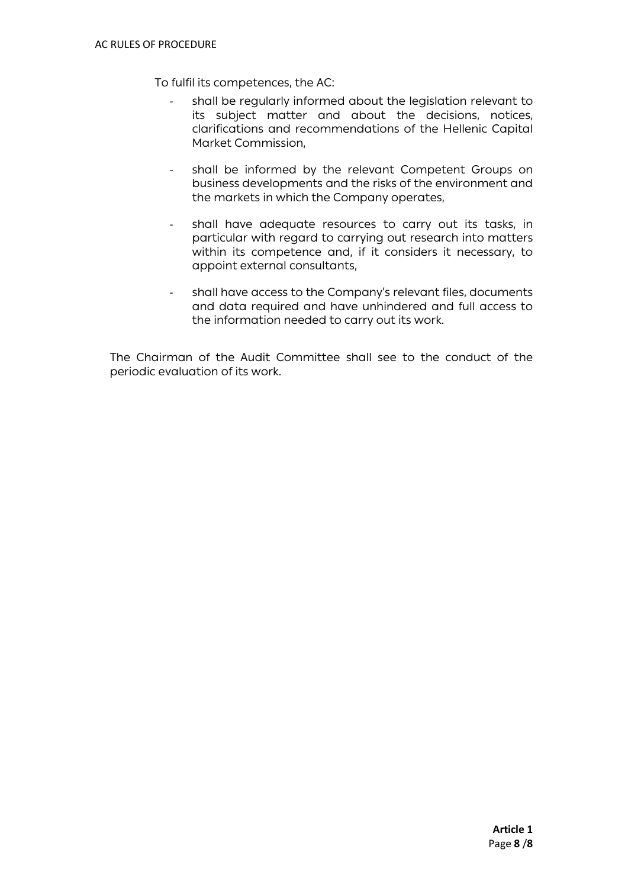To fulfil its competences, the AC:

- shall be regularly informed about the legislation relevant to its subject matter and about the decisions, notices, clarifications and recommendations of the Hellenic Capital Market Commission,
- shall be informed by the relevant Competent Groups on business developments and the risks of the environment and the markets in which the Company operates,
- shall have adequate resources to carry out its tasks, in particular with regard to carrying out research into matters within its competence and, if it considers it necessary, to appoint external consultants,
- shall have access to the Company's relevant files, documents and data required and have unhindered and full access to the information needed to carry out its work.

The Chairman of the Audit Committee shall see to the conduct of the periodic evaluation of its work.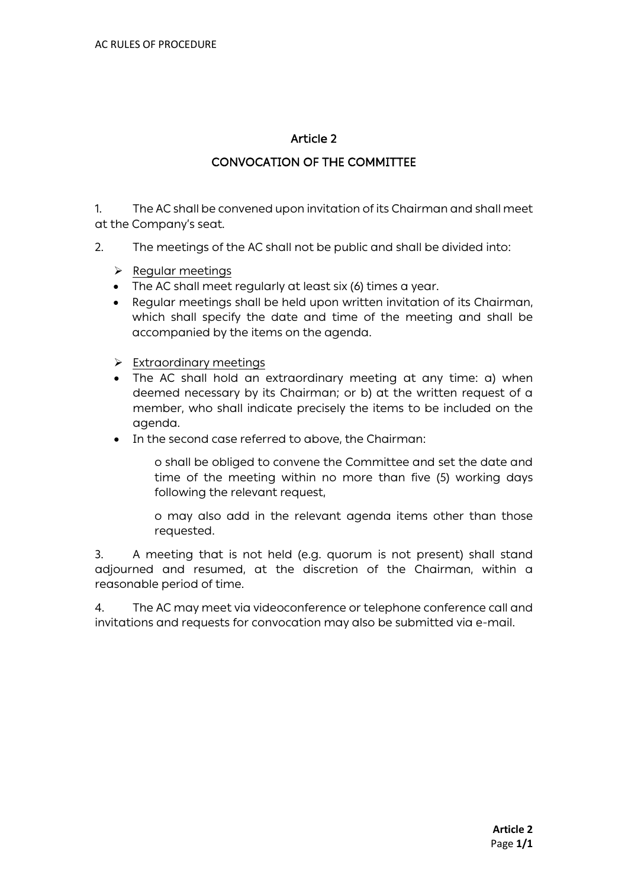# CONVOCATION OF THE COMMITTEE

1. The AC shall be convened upon invitation of its Chairman and shall meet at the Company's seat.

- 2. The meetings of the AC shall not be public and shall be divided into:
	- $\triangleright$  Regular meetings
	- The AC shall meet regularly at least six (6) times a year.
	- Regular meetings shall be held upon written invitation of its Chairman, which shall specify the date and time of the meeting and shall be accompanied by the items on the agenda.
	- $\triangleright$  Extraordinary meetings
	- The AC shall hold an extraordinary meeting at any time: a) when deemed necessary by its Chairman; or b) at the written request of a member, who shall indicate precisely the items to be included on the agenda.
	- In the second case referred to above, the Chairman:

o shall be obliged to convene the Committee and set the date and time of the meeting within no more than five (5) working days following the relevant request,

o may also add in the relevant agenda items other than those requested.

3. A meeting that is not held (e.g. quorum is not present) shall stand adjourned and resumed, at the discretion of the Chairman, within a reasonable period of time.

4. The AC may meet via videoconference or telephone conference call and invitations and requests for convocation may also be submitted via e-mail.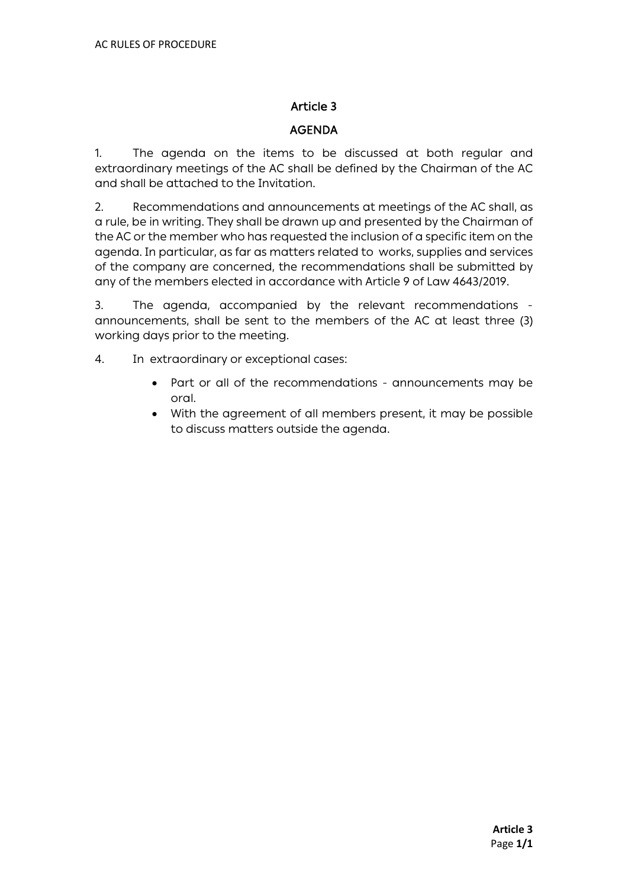#### AGENDA

1. The agenda on the items to be discussed at both regular and extraordinary meetings of the AC shall be defined by the Chairman of the AC and shall be attached to the Invitation.

2. Recommendations and announcements at meetings of the AC shall, as a rule, be in writing. They shall be drawn up and presented by the Chairman of the AC or the member who has requested the inclusion of a specific item on the agenda. In particular, as far as matters related to works, supplies and services of the company are concerned, the recommendations shall be submitted by any of the members elected in accordance with Article 9 of Law 4643/2019.

3. The agenda, accompanied by the relevant recommendations announcements, shall be sent to the members of the AC at least three (3) working days prior to the meeting.

4. In extraordinary or exceptional cases:

- Part or all of the recommendations announcements may be oral.
- With the agreement of all members present, it may be possible to discuss matters outside the agenda.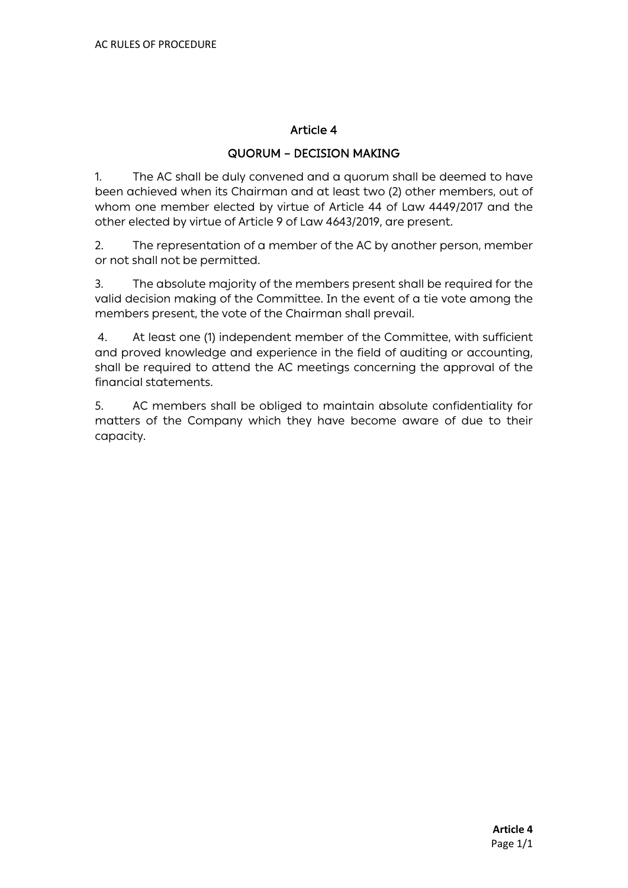#### QUORUM – DECISION MAKING

1. The AC shall be duly convened and a quorum shall be deemed to have been achieved when its Chairman and at least two (2) other members, out of whom one member elected by virtue of Article 44 of Law 4449/2017 and the other elected by virtue of Article 9 of Law 4643/2019, are present.

2. The representation of a member of the AC by another person, member or not shall not be permitted.

3. The absolute majority of the members present shall be required for the valid decision making of the Committee. In the event of a tie vote among the members present, the vote of the Chairman shall prevail.

4. At least one (1) independent member of the Committee, with sufficient and proved knowledge and experience in the field of auditing or accounting, shall be required to attend the AC meetings concerning the approval of the financial statements.

5. AC members shall be obliged to maintain absolute confidentiality for matters of the Company which they have become aware of due to their capacity.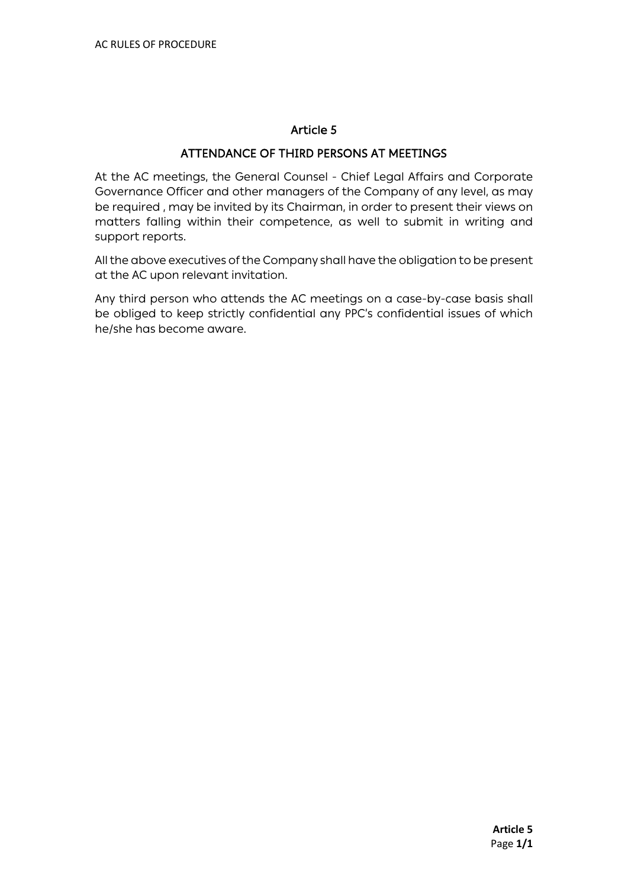#### ATTENDANCE OF THIRD PERSONS AT MEETINGS

At the AC meetings, the General Counsel - Chief Legal Affairs and Corporate Governance Officer and other managers of the Company of any level, as may be required , may be invited by its Chairman, in order to present their views on matters falling within their competence, as well to submit in writing and support reports.

All the above executives of the Company shall have the obligation to be present at the AC upon relevant invitation.

Any third person who attends the AC meetings on a case-by-case basis shall be obliged to keep strictly confidential any PPC's confidential issues of which he/she has become aware.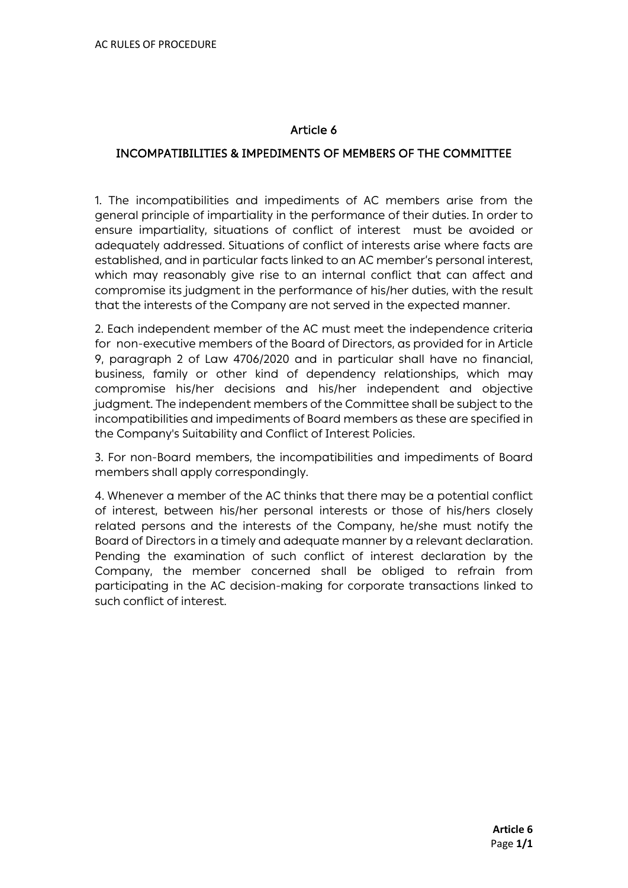#### INCOMPATIBILITIES & IMPEDIMENTS OF MEMBERS OF THE COMMITTEE

1. The incompatibilities and impediments of AC members arise from the general principle of impartiality in the performance of their duties. In order to ensure impartiality, situations of conflict of interest must be avoided or adequately addressed. Situations of conflict of interests arise where facts are established, and in particular facts linked to an AC member's personal interest, which may reasonably give rise to an internal conflict that can affect and compromise its judgment in the performance of his/her duties, with the result that the interests of the Company are not served in the expected manner.

2. Each independent member of the AC must meet the independence criteria for non-executive members of the Board of Directors, as provided for in Article 9, paragraph 2 of Law 4706/2020 and in particular shall have no financial, business, family or other kind of dependency relationships, which may compromise his/her decisions and his/her independent and objective judgment. The independent members of the Committee shall be subject to the incompatibilities and impediments of Board members as these are specified in the Company's Suitability and Conflict of Interest Policies.

3. For non-Board members, the incompatibilities and impediments of Board members shall apply correspondingly.

4. Whenever a member of the AC thinks that there may be a potential conflict of interest, between his/her personal interests or those of his/hers closely related persons and the interests of the Company, he/she must notify the Board of Directors in a timely and adequate manner by a relevant declaration. Pending the examination of such conflict of interest declaration by the Company, the member concerned shall be obliged to refrain from participating in the AC decision-making for corporate transactions linked to such conflict of interest.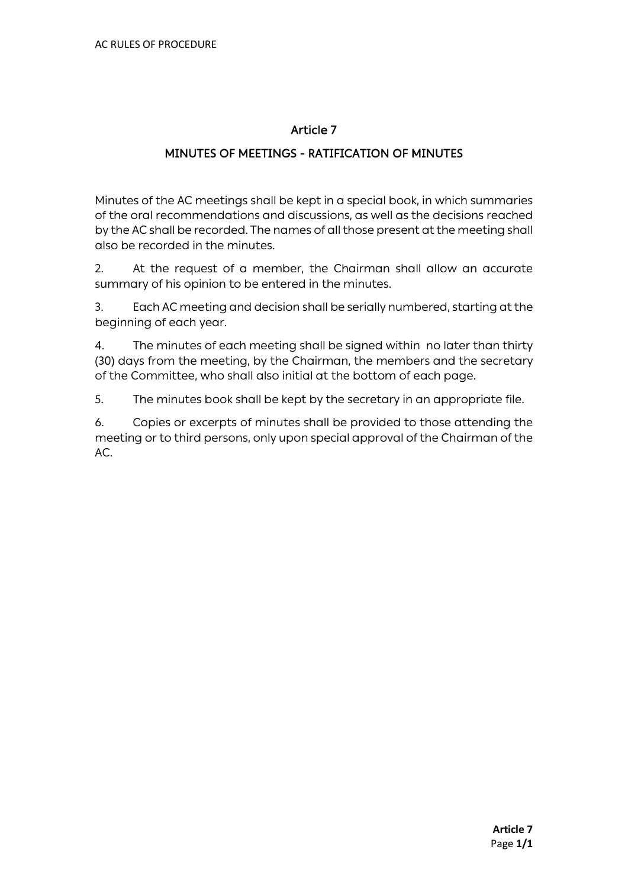#### MINUTES OF MEETINGS - RATIFICATION OF MINUTES

Minutes of the AC meetings shall be kept in a special book, in which summaries of the oral recommendations and discussions, as well as the decisions reached by the AC shall be recorded. The names of all those present at the meeting shall also be recorded in the minutes.

2. At the request of a member, the Chairman shall allow an accurate summary of his opinion to be entered in the minutes.

3. Each AC meeting and decision shall be serially numbered, starting at the beginning of each year.

4. The minutes of each meeting shall be signed within no later than thirty (30) days from the meeting, by the Chairman, the members and the secretary of the Committee, who shall also initial at the bottom of each page.

5. The minutes book shall be kept by the secretary in an appropriate file.

6. Copies or excerpts of minutes shall be provided to those attending the meeting or to third persons, only upon special approval of the Chairman of the AC.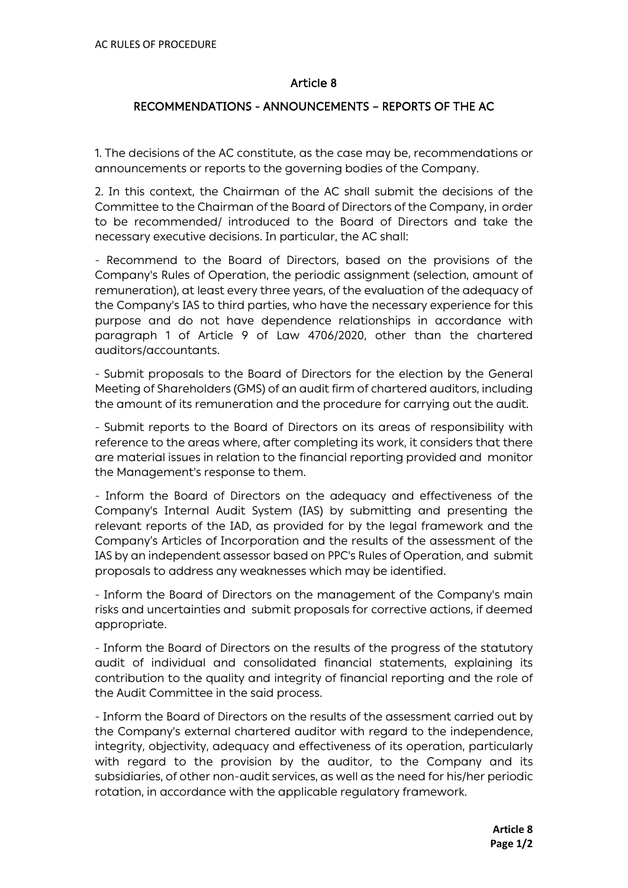#### RECOMMENDATIONS - ANNOUNCEMENTS – REPORTS OF THE AC

1. The decisions of the AC constitute, as the case may be, recommendations or announcements or reports to the governing bodies of the Company.

2. In this context, the Chairman of the AC shall submit the decisions of the Committee to the Chairman of the Board of Directors of the Company, in order to be recommended/ introduced to the Board of Directors and take the necessary executive decisions. In particular, the AC shall:

- Recommend to the Board of Directors, based on the provisions of the Company's Rules of Operation, the periodic assignment (selection, amount of remuneration), at least every three years, of the evaluation of the adequacy of the Company's IAS to third parties, who have the necessary experience for this purpose and do not have dependence relationships in accordance with paragraph 1 of Article 9 of Law 4706/2020, other than the chartered auditors/accountants.

- Submit proposals to the Board of Directors for the election by the General Meeting of Shareholders (GMS) of an audit firm of chartered auditors, including the amount of its remuneration and the procedure for carrying out the audit.

- Submit reports to the Board of Directors on its areas of responsibility with reference to the areas where, after completing its work, it considers that there are material issues in relation to the financial reporting provided and monitor the Management's response to them.

- Inform the Board of Directors on the adequacy and effectiveness of the Company's Internal Audit System (IAS) by submitting and presenting the relevant reports of the IAD, as provided for by the legal framework and the Company's Articles of Incorporation and the results of the assessment of the IAS by an independent assessor based on PPC's Rules of Operation, and submit proposals to address any weaknesses which may be identified.

- Inform the Board of Directors on the management of the Company's main risks and uncertainties and submit proposals for corrective actions, if deemed appropriate.

- Inform the Board of Directors on the results of the progress of the statutory audit of individual and consolidated financial statements, explaining its contribution to the quality and integrity of financial reporting and the role of the Audit Committee in the said process.

- Inform the Board of Directors on the results of the assessment carried out by the Company's external chartered auditor with regard to the independence, integrity, objectivity, adequacy and effectiveness of its operation, particularly with regard to the provision by the auditor, to the Company and its subsidiaries, of other non-audit services, as well as the need for his/her periodic rotation, in accordance with the applicable regulatory framework.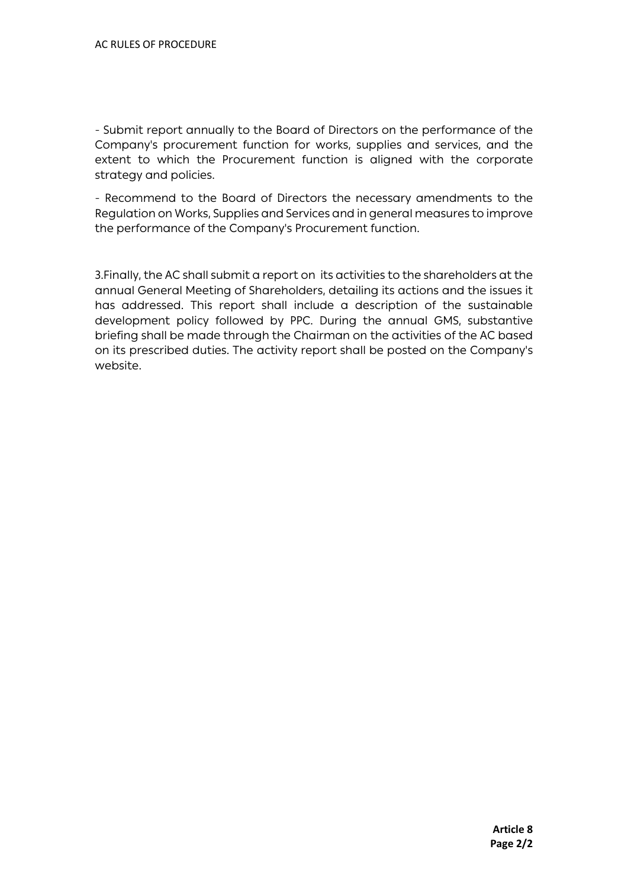- Submit report annually to the Board of Directors on the performance of the Company's procurement function for works, supplies and services, and the extent to which the Procurement function is aligned with the corporate strategy and policies.

- Recommend to the Board of Directors the necessary amendments to the Regulation on Works, Supplies and Services and in general measures to improve the performance of the Company's Procurement function.

3.Finally, the AC shall submit a report on its activities to the shareholders at the annual General Meeting of Shareholders, detailing its actions and the issues it has addressed. This report shall include a description of the sustainable development policy followed by PPC. During the annual GMS, substantive briefing shall be made through the Chairman on the activities of the AC based on its prescribed duties. The activity report shall be posted on the Company's website.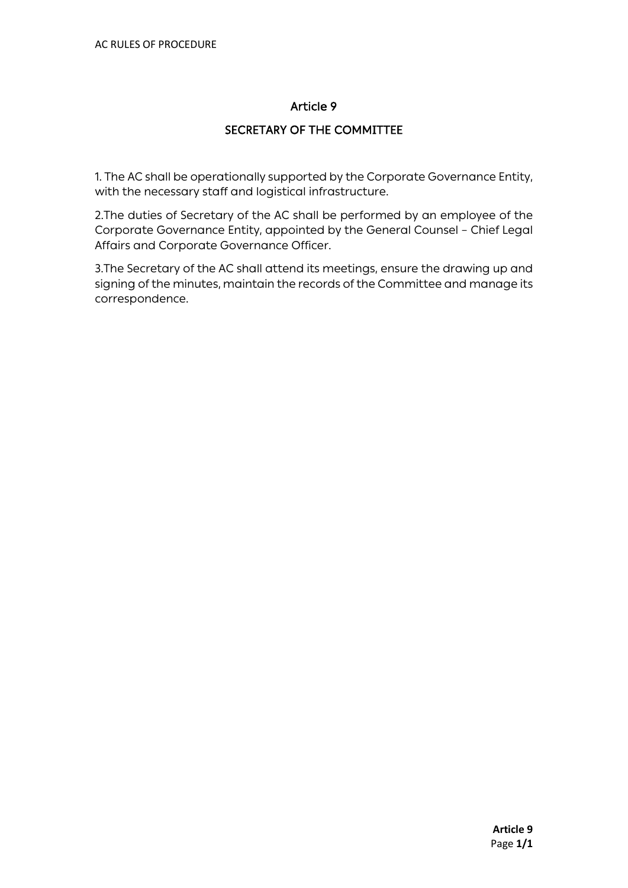## SECRETARY OF THE COMMITTEE

1. The AC shall be operationally supported by the Corporate Governance Entity, with the necessary staff and logistical infrastructure.

2.The duties of Secretary of the AC shall be performed by an employee of the Corporate Governance Entity, appointed by the General Counsel – Chief Legal Affairs and Corporate Governance Officer.

3.The Secretary of the AC shall attend its meetings, ensure the drawing up and signing of the minutes, maintain the records of the Committee and manage its correspondence.